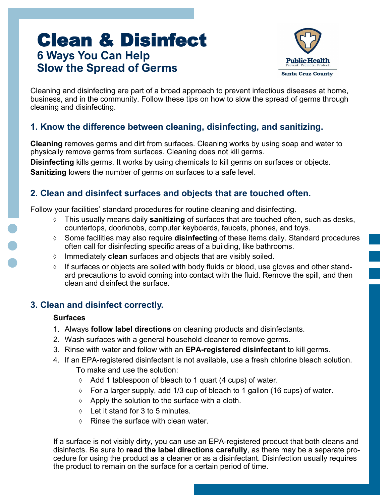# Clean & Disinfect **6 Ways You Can Help Slow the Spread of Germs**



Cleaning and disinfecting are part of a broad approach to prevent infectious diseases at home, business, and in the community. Follow these tips on how to slow the spread of germs through cleaning and disinfecting.

### **1. Know the difference between cleaning, disinfecting, and sanitizing.**

**Cleaning** removes germs and dirt from surfaces. Cleaning works by using soap and water to physically remove germs from surfaces. Cleaning does not kill germs.

**Disinfecting** kills germs. It works by using chemicals to kill germs on surfaces or objects. **Sanitizing** lowers the number of germs on surfaces to a safe level.

### **2. Clean and disinfect surfaces and objects that are touched often.**

Follow your facilities' standard procedures for routine cleaning and disinfecting.

- This usually means daily **sanitizing** of surfaces that are touched often, such as desks, countertops, doorknobs, computer keyboards, faucets, phones, and toys.
- Some facilities may also require **disinfecting** of these items daily. Standard procedures often call for disinfecting specific areas of a building, like bathrooms.
- Immediately **clean** surfaces and objects that are visibly soiled.
- $\Diamond$  If surfaces or objects are soiled with body fluids or blood, use gloves and other standard precautions to avoid coming into contact with the fluid. Remove the spill, and then clean and disinfect the surface.

### **3. Clean and disinfect correctly.**

#### **Surfaces**

- 1. Always **follow label directions** on cleaning products and disinfectants.
- 2. Wash surfaces with a general household cleaner to remove germs.
- 3. Rinse with water and follow with an **EPA-registered disinfectant** to kill germs.
- 4. If an EPA-registered disinfectant is not available, use a fresh chlorine bleach solution. To make and use the solution:
	- $\Diamond$  Add 1 tablespoon of bleach to 1 quart (4 cups) of water.
	- $\circ$  For a larger supply, add 1/3 cup of bleach to 1 gallon (16 cups) of water.
	- $\Diamond$  Apply the solution to the surface with a cloth.
	- $\circ$  Let it stand for 3 to 5 minutes.
	- $\Diamond$  Rinse the surface with clean water.

If a surface is not visibly dirty, you can use an EPA-registered product that both cleans and disinfects. Be sure to **read the label directions carefully**, as there may be a separate procedure for using the product as a cleaner or as a disinfectant. Disinfection usually requires the product to remain on the surface for a certain period of time.